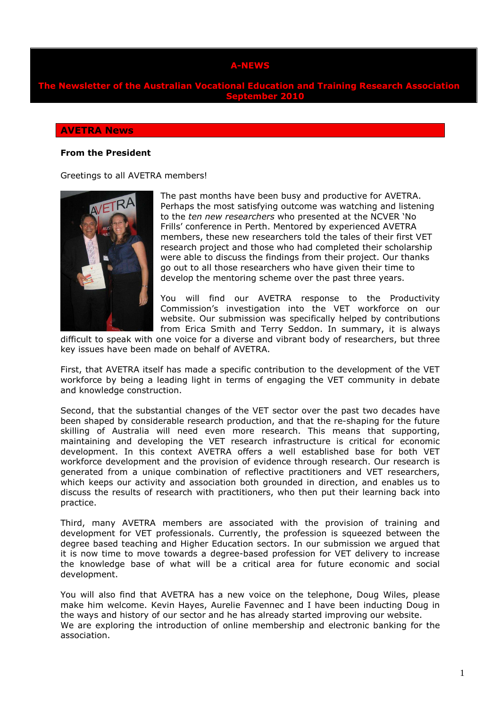# **A-NEWS**

**Newsletter of the Australian Vocational Education and Training Research As September 2010** 

#### **AVETRA News**

### **From the President**

Greetings to all AVETRA members!



The past months have been busy and productive for AVETRA. Perhaps the most satisfying outcome was watching and listening to the *ten new researchers* who presented at the NCVER 'No Frills' conference in Perth. Mentored by experienced AVETRA members, these new researchers told the tales of their first VET research project and those who had completed their scholarship were able to discuss the findings from their project. Our thanks go out to all those researchers who have given their time to develop the mentoring scheme over the past three years.

You will find our AVETRA response to the Productivity Commission's investigation into the VET workforce on our website. Our submission was specifically helped by contributions from Erica Smith and Terry Seddon. In summary, it is always

difficult to speak with one voice for a diverse and vibrant body of researchers, but three key issues have been made on behalf of AVETRA.

First, that AVETRA itself has made a specific contribution to the development of the VET workforce by being a leading light in terms of engaging the VET community in debate and knowledge construction.

Second, that the substantial changes of the VET sector over the past two decades have been shaped by considerable research production, and that the re-shaping for the future skilling of Australia will need even more research. This means that supporting, maintaining and developing the VET research infrastructure is critical for economic development. In this context AVETRA offers a well established base for both VET workforce development and the provision of evidence through research. Our research is generated from a unique combination of reflective practitioners and VET researchers, which keeps our activity and association both grounded in direction, and enables us to discuss the results of research with practitioners, who then put their learning back into practice.

Third, many AVETRA members are associated with the provision of training and development for VET professionals. Currently, the profession is squeezed between the degree based teaching and Higher Education sectors. In our submission we argued that it is now time to move towards a degree-based profession for VET delivery to increase the knowledge base of what will be a critical area for future economic and social development.

You will also find that AVETRA has a new voice on the telephone, Doug Wiles, please make him welcome. Kevin Hayes, Aurelie Favennec and I have been inducting Doug in the ways and history of our sector and he has already started improving our website. We are exploring the introduction of online membership and electronic banking for the association.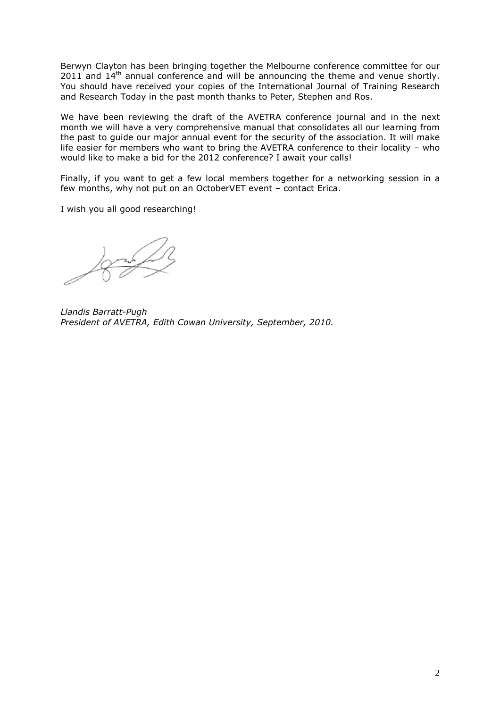Berwyn Clayton has been bringing together the Melbourne conference committee for our 2011 and  $14<sup>th</sup>$  annual conference and will be announcing the theme and venue shortly. You should have received your copies of the International Journal of Training Research and Research Today in the past month thanks to Peter, Stephen and Ros.

We have been reviewing the draft of the AVETRA conference journal and in the next month we will have a very comprehensive manual that consolidates all our learning from the past to guide our major annual event for the security of the association. It will make life easier for members who want to bring the AVETRA conference to their locality – who would like to make a bid for the 2012 conference? I await your calls!

Finally, if you want to get a few local members together for a networking session in a few months, why not put on an OctoberVET event – contact Erica.

I wish you all good researching!

*Llandis Barratt-Pugh President of AVETRA, Edith Cowan University, September, 2010.*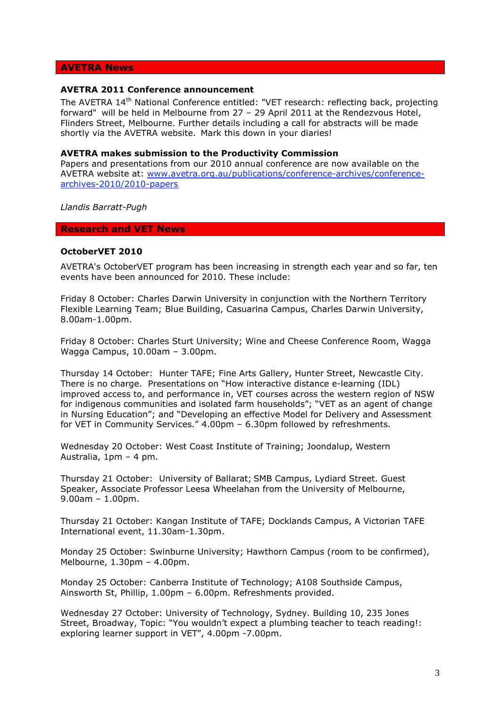### **AVETRA News**

### **AVETRA 2011 Conference announcement**

The AVETRA 14<sup>th</sup> National Conference entitled: "VET research: reflecting back, projecting forward" will be held in Melbourne from 27 – 29 April 2011 at the Rendezvous Hotel, Flinders Street, Melbourne. Further details including a call for abstracts will be made shortly via the AVETRA website. Mark this down in your diaries!

#### **AVETRA makes submission to the Productivity Commission**

Papers and presentations from our 2010 annual conference are now available on the AVETRA website at: www.avetra.org.au/publications/conference-archives/conferencearchives-2010/2010-papers

*Llandis Barratt-Pugh* 

#### **Research and VET News**

#### **OctoberVET 2010**

AVETRA's OctoberVET program has been increasing in strength each year and so far, ten events have been announced for 2010. These include:

Friday 8 October: Charles Darwin University in conjunction with the Northern Territory Flexible Learning Team; Blue Building, Casuarina Campus, Charles Darwin University, 8.00am-1.00pm.

Friday 8 October: Charles Sturt University; Wine and Cheese Conference Room, Wagga Wagga Campus, 10.00am – 3.00pm.

Thursday 14 October: Hunter TAFE; Fine Arts Gallery, Hunter Street, Newcastle City. There is no charge. Presentations on "How interactive distance e-learning (IDL) improved access to, and performance in, VET courses across the western region of NSW for indigenous communities and isolated farm households"; "VET as an agent of change in Nursing Education"; and "Developing an effective Model for Delivery and Assessment for VET in Community Services." 4.00pm – 6.30pm followed by refreshments.

Wednesday 20 October: West Coast Institute of Training; Joondalup, Western Australia, 1pm – 4 pm.

Thursday 21 October: University of Ballarat; SMB Campus, Lydiard Street. Guest Speaker, Associate Professor Leesa Wheelahan from the University of Melbourne, 9.00am – 1.00pm.

Thursday 21 October: Kangan Institute of TAFE; Docklands Campus, A Victorian TAFE International event, 11.30am-1.30pm.

Monday 25 October: Swinburne University; Hawthorn Campus (room to be confirmed), Melbourne, 1.30pm – 4.00pm.

Monday 25 October: Canberra Institute of Technology; A108 Southside Campus, Ainsworth St, Phillip, 1.00pm – 6.00pm. Refreshments provided.

Wednesday 27 October: University of Technology, Sydney. Building 10, 235 Jones Street, Broadway, Topic: "You wouldn't expect a plumbing teacher to teach reading!: exploring learner support in VET", 4.00pm -7.00pm.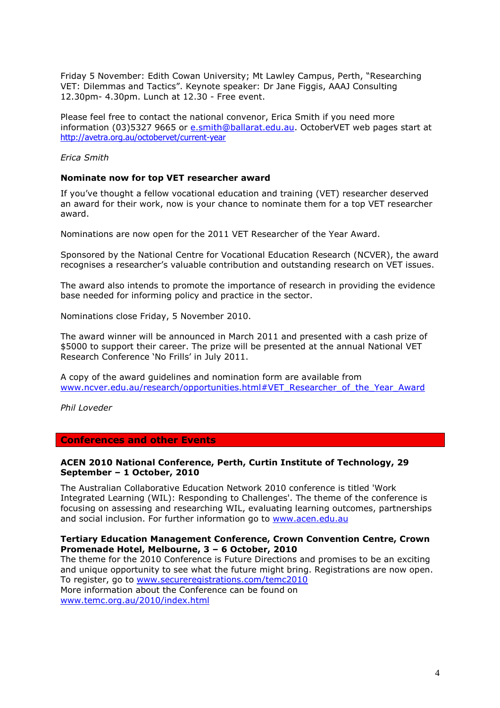Friday 5 November: Edith Cowan University; Mt Lawley Campus, Perth, "Researching VET: Dilemmas and Tactics". Keynote speaker: Dr Jane Figgis, AAAJ Consulting 12.30pm- 4.30pm. Lunch at 12.30 - Free event.

Please feel free to contact the national convenor, Erica Smith if you need more information (03)5327 9665 or e.smith@ballarat.edu.au. OctoberVET web pages start at http://avetra.org.au/octobervet/current-year

*Erica Smith* 

#### **Nominate now for top VET researcher award**

If you've thought a fellow vocational education and training (VET) researcher deserved an award for their work, now is your chance to nominate them for a top VET researcher award.

Nominations are now open for the 2011 VET Researcher of the Year Award.

Sponsored by the National Centre for Vocational Education Research (NCVER), the award recognises a researcher's valuable contribution and outstanding research on VET issues.

The award also intends to promote the importance of research in providing the evidence base needed for informing policy and practice in the sector.

Nominations close Friday, 5 November 2010.

The award winner will be announced in March 2011 and presented with a cash prize of \$5000 to support their career. The prize will be presented at the annual National VET Research Conference 'No Frills' in July 2011.

A copy of the award guidelines and nomination form are available from www.ncver.edu.au/research/opportunities.html#VET\_Researcher\_of\_the\_Year\_Award

*Phil Loveder* 

#### **Conferences and other Events**

### **ACEN 2010 National Conference, Perth, Curtin Institute of Technology, 29 September – 1 October, 2010**

The Australian Collaborative Education Network 2010 conference is titled 'Work Integrated Learning (WIL): Responding to Challenges'. The theme of the conference is focusing on assessing and researching WIL, evaluating learning outcomes, partnerships and social inclusion. For further information go to www.acen.edu.au

### **Tertiary Education Management Conference, Crown Convention Centre, Crown Promenade Hotel, Melbourne, 3 – 6 October, 2010**

The theme for the 2010 Conference is Future Directions and promises to be an exciting and unique opportunity to see what the future might bring. Registrations are now open. To register, go to www.secureregistrations.com/temc2010 More information about the Conference can be found on www.temc.org.au/2010/index.html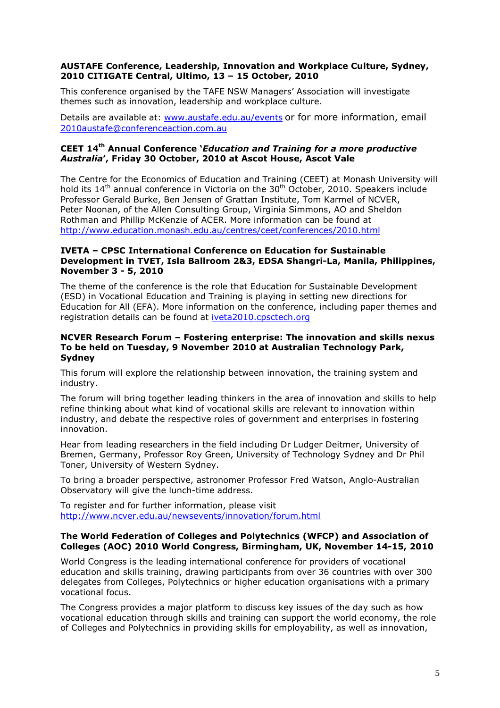## **AUSTAFE Conference, Leadership, Innovation and Workplace Culture, Sydney, 2010 CITIGATE Central, Ultimo, 13 – 15 October, 2010**

This conference organised by the TAFE NSW Managers' Association will investigate themes such as innovation, leadership and workplace culture.

Details are available at: www.austafe.edu.au/events or for more information, email 2010austafe@conferenceaction.com.au

## **CEET 14th Annual Conference '***Education and Training for a more productive Australia***', Friday 30 October, 2010 at Ascot House, Ascot Vale**

The Centre for the Economics of Education and Training (CEET) at Monash University will hold its 14<sup>th</sup> annual conference in Victoria on the 30<sup>th</sup> October, 2010. Speakers include Professor Gerald Burke, Ben Jensen of Grattan Institute, Tom Karmel of NCVER, Peter Noonan, of the Allen Consulting Group, Virginia Simmons, AO and Sheldon Rothman and Phillip McKenzie of ACER. More information can be found at http://www.education.monash.edu.au/centres/ceet/conferences/2010.html

### **IVETA – CPSC International Conference on Education for Sustainable Development in TVET, Isla Ballroom 2&3, EDSA Shangri-La, Manila, Philippines, November 3 - 5, 2010**

The theme of the conference is the role that Education for Sustainable Development (ESD) in Vocational Education and Training is playing in setting new directions for Education for All (EFA). More information on the conference, including paper themes and registration details can be found at iveta2010.cpsctech.org

### **NCVER Research Forum – Fostering enterprise: The innovation and skills nexus To be held on Tuesday, 9 November 2010 at Australian Technology Park, Sydney**

This forum will explore the relationship between innovation, the training system and industry.

The forum will bring together leading thinkers in the area of innovation and skills to help refine thinking about what kind of vocational skills are relevant to innovation within industry, and debate the respective roles of government and enterprises in fostering innovation.

Hear from leading researchers in the field including Dr Ludger Deitmer, University of Bremen, Germany, Professor Roy Green, University of Technology Sydney and Dr Phil Toner, University of Western Sydney.

To bring a broader perspective, astronomer Professor Fred Watson, Anglo-Australian Observatory will give the lunch-time address.

To register and for further information, please visit http://www.ncver.edu.au/newsevents/innovation/forum.html

### **The World Federation of Colleges and Polytechnics (WFCP) and Association of Colleges (AOC) 2010 World Congress, Birmingham, UK, November 14-15, 2010**

World Congress is the leading international conference for providers of vocational education and skills training, drawing participants from over 36 countries with over 300 delegates from Colleges, Polytechnics or higher education organisations with a primary vocational focus.

The Congress provides a major platform to discuss key issues of the day such as how vocational education through skills and training can support the world economy, the role of Colleges and Polytechnics in providing skills for employability, as well as innovation,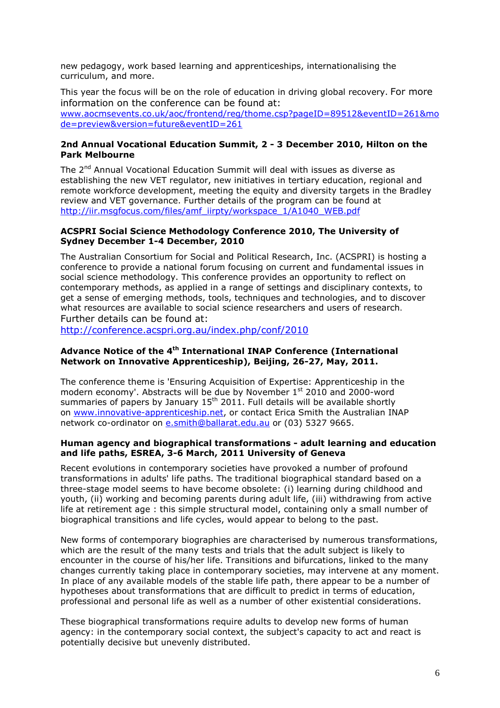new pedagogy, work based learning and apprenticeships, internationalising the curriculum, and more.

This year the focus will be on the role of education in driving global recovery. For more information on the conference can be found at: www.aocmsevents.co.uk/aoc/frontend/reg/thome.csp?pageID=89512&eventID=261&mo de=preview&version=future&eventID=261

## **2nd Annual Vocational Education Summit, 2 - 3 December 2010, Hilton on the Park Melbourne**

The 2<sup>nd</sup> Annual Vocational Education Summit will deal with issues as diverse as establishing the new VET regulator, new initiatives in tertiary education, regional and remote workforce development, meeting the equity and diversity targets in the Bradley review and VET governance. Further details of the program can be found at http://iir.msgfocus.com/files/amf\_iirpty/workspace\_1/A1040\_WEB.pdf

## **ACSPRI Social Science Methodology Conference 2010, The University of Sydney December 1-4 December, 2010**

The Australian Consortium for Social and Political Research, Inc. (ACSPRI) is hosting a conference to provide a national forum focusing on current and fundamental issues in social science methodology. This conference provides an opportunity to reflect on contemporary methods, as applied in a range of settings and disciplinary contexts, to get a sense of emerging methods, tools, techniques and technologies, and to discover what resources are available to social science researchers and users of research. Further details can be found at:

http://conference.acspri.org.au/index.php/conf/2010

## **Advance Notice of the 4th International INAP Conference (International Network on Innovative Apprenticeship), Beijing, 26-27, May, 2011.**

The conference theme is 'Ensuring Acquisition of Expertise: Apprenticeship in the modern economy'. Abstracts will be due by November 1<sup>st</sup> 2010 and 2000-word summaries of papers by January  $15<sup>th</sup> 2011$ . Full details will be available shortly on www.innovative-apprenticeship.net, or contact Erica Smith the Australian INAP network co-ordinator on e.smith@ballarat.edu.au or (03) 5327 9665.

### **Human agency and biographical transformations - adult learning and education and life paths, ESREA, 3-6 March, 2011 University of Geneva**

Recent evolutions in contemporary societies have provoked a number of profound transformations in adults' life paths. The traditional biographical standard based on a three-stage model seems to have become obsolete: (i) learning during childhood and youth, (ii) working and becoming parents during adult life, (iii) withdrawing from active life at retirement age : this simple structural model, containing only a small number of biographical transitions and life cycles, would appear to belong to the past.

New forms of contemporary biographies are characterised by numerous transformations, which are the result of the many tests and trials that the adult subject is likely to encounter in the course of his/her life. Transitions and bifurcations, linked to the many changes currently taking place in contemporary societies, may intervene at any moment. In place of any available models of the stable life path, there appear to be a number of hypotheses about transformations that are difficult to predict in terms of education, professional and personal life as well as a number of other existential considerations.

These biographical transformations require adults to develop new forms of human agency: in the contemporary social context, the subject's capacity to act and react is potentially decisive but unevenly distributed.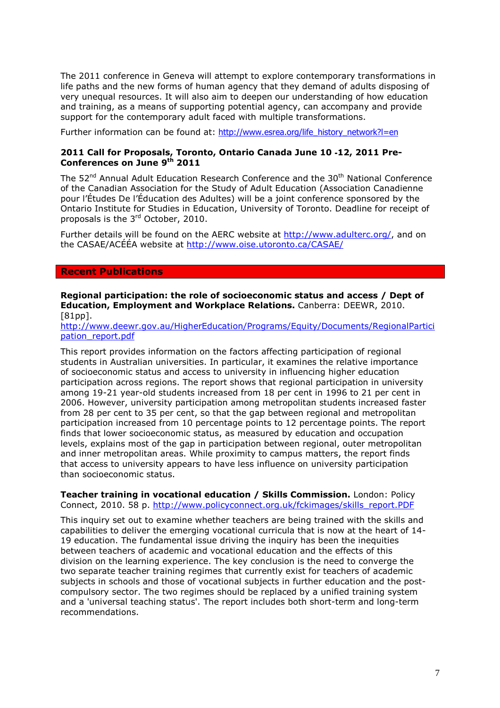The 2011 conference in Geneva will attempt to explore contemporary transformations in life paths and the new forms of human agency that they demand of adults disposing of very unequal resources. It will also aim to deepen our understanding of how education and training, as a means of supporting potential agency, can accompany and provide support for the contemporary adult faced with multiple transformations.

Further information can be found at: http://www.esrea.org/life\_history\_network?l=en

## **2011 Call for Proposals, Toronto, Ontario Canada June 10** ‐**12, 2011 Pre-Conferences on June 9th 2011**

The 52<sup>nd</sup> Annual Adult Education Research Conference and the 30<sup>th</sup> National Conference of the Canadian Association for the Study of Adult Education (Association Canadienne pour l'Études De l'Éducation des Adultes) will be a joint conference sponsored by the Ontario Institute for Studies in Education, University of Toronto. Deadline for receipt of proposals is the 3rd October, 2010.

Further details will be found on the AERC website at http://www.adulterc.org/, and on the CASAE/ACÉÉA website at http://www.oise.utoronto.ca/CASAE/

#### **Recent Publications**

**Regional participation: the role of socioeconomic status and access / Dept of Education, Employment and Workplace Relations.** Canberra: DEEWR, 2010. [81pp].

http://www.deewr.gov.au/HigherEducation/Programs/Equity/Documents/RegionalPartici pation\_report.pdf

This report provides information on the factors affecting participation of regional students in Australian universities. In particular, it examines the relative importance of socioeconomic status and access to university in influencing higher education participation across regions. The report shows that regional participation in university among 19-21 year-old students increased from 18 per cent in 1996 to 21 per cent in 2006. However, university participation among metropolitan students increased faster from 28 per cent to 35 per cent, so that the gap between regional and metropolitan participation increased from 10 percentage points to 12 percentage points. The report finds that lower socioeconomic status, as measured by education and occupation levels, explains most of the gap in participation between regional, outer metropolitan and inner metropolitan areas. While proximity to campus matters, the report finds that access to university appears to have less influence on university participation than socioeconomic status.

**Teacher training in vocational education / Skills Commission.** London: Policy Connect, 2010. 58 p. http://www.policyconnect.org.uk/fckimages/skills\_report.PDF

This inquiry set out to examine whether teachers are being trained with the skills and capabilities to deliver the emerging vocational curricula that is now at the heart of 14- 19 education. The fundamental issue driving the inquiry has been the inequities between teachers of academic and vocational education and the effects of this division on the learning experience. The key conclusion is the need to converge the two separate teacher training regimes that currently exist for teachers of academic subjects in schools and those of vocational subjects in further education and the postcompulsory sector. The two regimes should be replaced by a unified training system and a 'universal teaching status'. The report includes both short-term and long-term recommendations.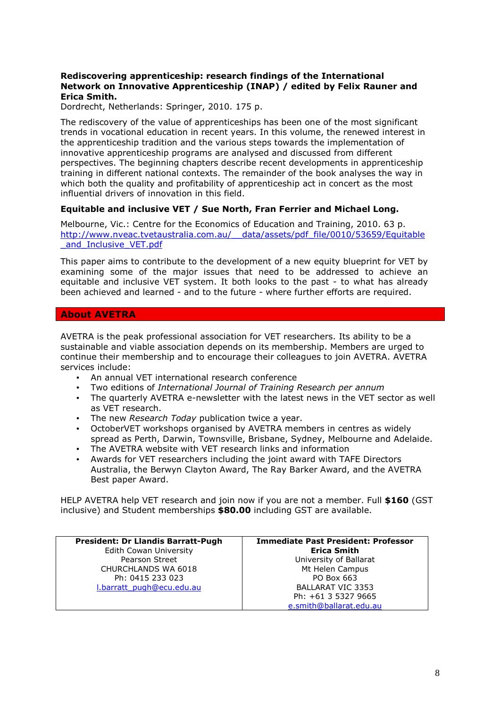## **Rediscovering apprenticeship: research findings of the International Network on Innovative Apprenticeship (INAP) / edited by Felix Rauner and Erica Smith.**

Dordrecht, Netherlands: Springer, 2010. 175 p.

The rediscovery of the value of apprenticeships has been one of the most significant trends in vocational education in recent years. In this volume, the renewed interest in the apprenticeship tradition and the various steps towards the implementation of innovative apprenticeship programs are analysed and discussed from different perspectives. The beginning chapters describe recent developments in apprenticeship training in different national contexts. The remainder of the book analyses the way in which both the quality and profitability of apprenticeship act in concert as the most influential drivers of innovation in this field.

## **Equitable and inclusive VET / Sue North, Fran Ferrier and Michael Long.**

Melbourne, Vic.: Centre for the Economics of Education and Training, 2010. 63 p. http://www.nveac.tvetaustralia.com.au/ data/assets/pdf\_file/0010/53659/Equitable \_and\_Inclusive\_VET.pdf

This paper aims to contribute to the development of a new equity blueprint for VET by examining some of the major issues that need to be addressed to achieve an equitable and inclusive VET system. It both looks to the past - to what has already been achieved and learned - and to the future - where further efforts are required.

## **About AVETRA**

AVETRA is the peak professional association for VET researchers. Its ability to be a sustainable and viable association depends on its membership. Members are urged to continue their membership and to encourage their colleagues to join AVETRA. AVETRA services include:

- An annual VET international research conference
- Two editions of *International Journal of Training Research per annum*
- The quarterly AVETRA e-newsletter with the latest news in the VET sector as well as VET research.
- The new *Research Today* publication twice a year.
- OctoberVET workshops organised by AVETRA members in centres as widely spread as Perth, Darwin, Townsville, Brisbane, Sydney, Melbourne and Adelaide.
- The AVETRA website with VET research links and information
- Awards for VET researchers including the joint award with TAFE Directors Australia, the Berwyn Clayton Award, The Ray Barker Award, and the AVETRA Best paper Award.

HELP AVETRA help VET research and join now if you are not a member. Full **\$160** (GST inclusive) and Student memberships **\$80.00** including GST are available.

| <b>President: Dr Llandis Barratt-Pugh</b> | <b>Immediate Past President: Professor</b> |
|-------------------------------------------|--------------------------------------------|
| Edith Cowan University                    | <b>Erica Smith</b>                         |
| Pearson Street                            | University of Ballarat                     |
| CHURCHLANDS WA 6018                       | Mt Helen Campus                            |
| Ph: 0415 233 023                          | PO Box 663                                 |
| I.barratt pugh@ecu.edu.au                 | <b>BALLARAT VIC 3353</b>                   |
|                                           | Ph: +61 3 5327 9665                        |
|                                           | e.smith@ballarat.edu.au                    |